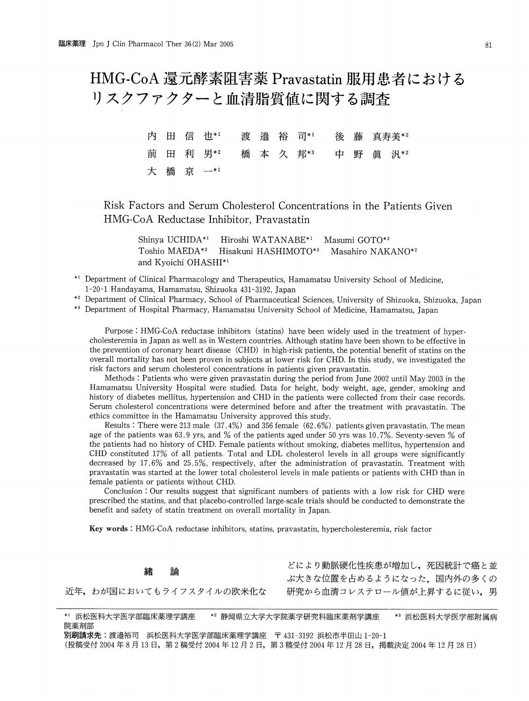HMG-CoA 還元酵素阻害薬 Pravastatin 服用患者における リスクファクターと血清脂質値に関する調査

|  | 内 田 信 也*1 渡 邉 裕 司*1 後 藤 真寿美*2 |  |  |  |  |  |
|--|-------------------------------|--|--|--|--|--|
|  | 前田利男*2 橋本久邦*3 中野眞汎*2          |  |  |  |  |  |
|  | 大橋 京 一*1                      |  |  |  |  |  |

Risk Factors and Serum Cholesterol Concentrations in the Patients Given HMG-CoA Reductase Inhibitor, Pravastatin

Shinya UCHIDA\*1 Hiroshi WATANABE\*1 Masumi GOTO\*2 Toshio MAEDA\*2 Hisakuni HASHIMOTO\*3 Masahiro NAKANO\*2 and Kyoichi OHASHI\*1

\*1 Department of Clinical Pharmacology and Therapeutics , Hamamatsu University School of Medicine, 1-20-1 Handayama, Hamamatsu, Shizuoka 431-3192, Japan

\*<sup>2</sup> Department of Clinical Pharmacy, School of Pharmaceutical Sciences, University of Shizuoka, Shizuoka, Japan<br>\*<sup>3</sup> Department of Hospital Pharmacy, Hamamatsu University School of Medicine, Hamamatsu, Japan

\*<sup>3</sup> Department of Hospital Pharmacy, Hamamatsu University School of Medicine, Hamamatsu, Japan

Purpose:HMG-CoA reductase inhibitors (statins) have been widely used in the treatment of hyper cholesteremia in Japan as well as in Western countries. Although statins have been shown to be effective in the prevention of coronary heart disease (CHD) in high-risk patients, the potential benefit of statins on the overall mortality has not been proven in subjects at lower risk for CHD. In this study, we investigated the risk factors and serum cholesterol concentrations in patients given pravastatin.

Methods: Patients who were given pravastatin during the period from June 2002 until May 2003 in the Hamamatsu University Hospital were studied. Data for height, body weight, age, gender, smoking and history of diabetes mellitus, hypertension and CHD in the patients were collected from their case records. Serum cholesterol concentrations were determined before and after the treatment with pravastatin. The ethics committee in the Hamamatsu University approved this study.

Results:There were 213 male (37.4%) and 356 female (62.6%) patients given pravastatin. The mean age of the patients was 63.9 yrs, and % of the patients aged under 50 yrs was 10.7%. Seventy-seven % of the patients had no history of CHD. Female patients without smoking, diabetes mellitus, hypertension and CHD constituted 17% of all patients. Total and LDL cholesterol levels in all groups were significantly decreased by 17.6% and 25.5%, respectively, after the administration of pravastatin. Treatment with pravastatin was started at the lower total cholesterol levels in male patients or patients with CHD than in female patients or patients without CHD.

Conclusion: Our results suggest that significant numbers of patients with a low risk for CHD were prescribed the statins, and that placebo-controlled large-scale trials should be conducted to demonstrate the benefit and safety of statin treatment on overall mortality in Japan.

Key words:HMG-CoA reductase inhibitors, statins, pravastatin, hypercholesteremia, risk factor

近年、わが国においてもライフスタイルの欧米化な

どにより動脈硬化性疾患が増加し、死因統計で癌と並 ぶ大きな位置を占めるようになった。国内外の多くの 研究から血清コレステロール値が上昇するに従い、男

\*1 浜松医科大学医学部臨床薬理学講座 \*2 静岡県立大学大学院薬学研究科臨床薬剤学講座 \*3 浜松医科大学医学部附属病 院薬剤部 別刷請求先:渡邉裕司 浜松医科大学医学部臨床薬理学講座 〒 431-3192 浜松市半田山 1-20-1

(投稿受付 2004年8月13日,第2稿受付 2004年12月2日,第3稿受付 2004年12月28日,掲載決定 2004年12月28日)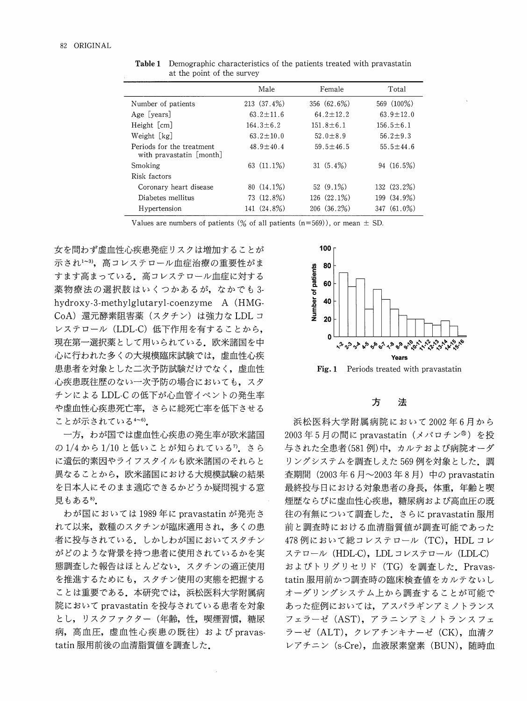|                                                       | Male            | Female          | Total           |
|-------------------------------------------------------|-----------------|-----------------|-----------------|
| Number of patients                                    | 213(37.4%)      | 356 (62.6%)     | 569 (100%)      |
| Age [years]                                           | $63.2 \pm 11.6$ | 64.2 $\pm$ 12.2 | 63.9 $\pm$ 12.0 |
| Height [cm]                                           | $164.3 \pm 6.2$ | $151.8 \pm 6.1$ | $156.5 \pm 6.1$ |
| Weight [kg]                                           | $63.2 \pm 10.0$ | $52.0 \pm 8.9$  | $56.2 \pm 9.3$  |
| Periods for the treatment<br>with pravastatin [month] | $48.9 \pm 40.4$ | $59.5 \pm 46.5$ | $55.5 \pm 44.6$ |
| Smoking                                               | 63 (11.1%)      | $31(5.4\%)$     | 94 (16.5%)      |
| Risk factors                                          |                 |                 |                 |
| Coronary heart disease                                | $80(14.1\%)$    | $52(9.1\%)$     | 132(23.2%)      |
| Diabetes mellitus                                     | 73 (12.8%)      | 126 (22.1%)     | 199 (34.9%)     |
| Hypertension                                          | 141 (24.8%)     | 206(36.2%)      | $347(61.0\%)$   |

Table 1 Demographic characteristics of the patients treated with pravastatin at the point of the survey

Values are numbers of patients (% of all patients (n=569)), or mean  $\pm$  SD.

女を問わず虚血性心疾患発症リスクは増加することが 示され<sup>1~3)</sup>, 高コレステロール血症治療の重要性がま すます高まっている。高コレステロール血症に対する 薬物療法の選択肢はいくつかあるが、なかでも3hydroxy-3-methylglutaryl-coenzyme A(HMG-CoA)還元酵素阻害薬(スタチン)は強力な LDL コ レステロール (LDL-C) 低下作用を有することから, 現在第一選択薬として用いられている。欧米諸国を中 心に行われた多くの大規模臨床試験では、虚血性心疾 患患者を対象とした二次予防試験だけでなく、虚血性 心疾患既往歴のない一次予防の場合においても、スタ チンによる LDL-C の低下が心血管イベントの発生率 や虚血性心疾患死亡率、さらに総死亡率を低下させる ことが示されている4~6).

一方, わが国では虚血性心疾患の発生率が欧米諸国 の1/4から1/10と低いことが知られている<sup>7</sup>.さら に遺伝的素因やライフスタイルも欧米諸国のそれらと 異なることから、欧米諸国における大規模試験の結果 を日本人にそのまま適応できるかどうか疑問視する意 見もある8).

わが国においては1989年に pravastatin が発売さ れて以来、数種のスタチンが臨床適用され、多くの患 者に投与されている。しかしわが国においてスタチン がどのような背景を持つ患者に使用されているかを実 態調査した報告はほとんどない。スタチンの適正使用 を推進するためにも、スタチン使用の実態を把握する ことは重要である。本研究では、浜松医科大学附属病 院において pravastatin を投与されている患者を対象 とし、リスクファクター(年齢,性,喫煙習慣,糖尿 病, 高血圧, 虚血性心疾患の既往) および pravastatin服用前後の血清脂質値を調査した.



方 法

浜松医科大学附属病院において2002年6月から 2003年5月の間に pravastatin (メバロチン®)を投 与された全患者(581例)中,カルテおよび病院オーダ リングシステムを調査しえた 569 例を対象とした。調 査期間 (2003年6月~2003年8月) 中の pravastatin 最終投与日における対象患者の身長、体重、年齢と喫 煙歴ならびに虚血性心疾患、糖尿病および高血圧の既 往の有無について調査した。さらに pravastatin 服用 前と調査時における血清脂質値が調査可能であった 478例において総コレステロール (TC), HDL コレ ステロール (HDL-C), LDL コレステロール (LDL-C) およびトリグリセリド (TG) を調査した. Pravastatin服用前かつ調査時の臨床検査値をカルテないし オーダリングシステム上から調査することが可能で あった症例においては、アスパラギンアミノトランス フェラーゼ (AST), アラニンアミノトランスフェ ラーゼ (ALT), クレアチンキナーゼ (CK), 血清ク レアチニン (s-Cre), 血液尿素窒素 (BUN), 随時血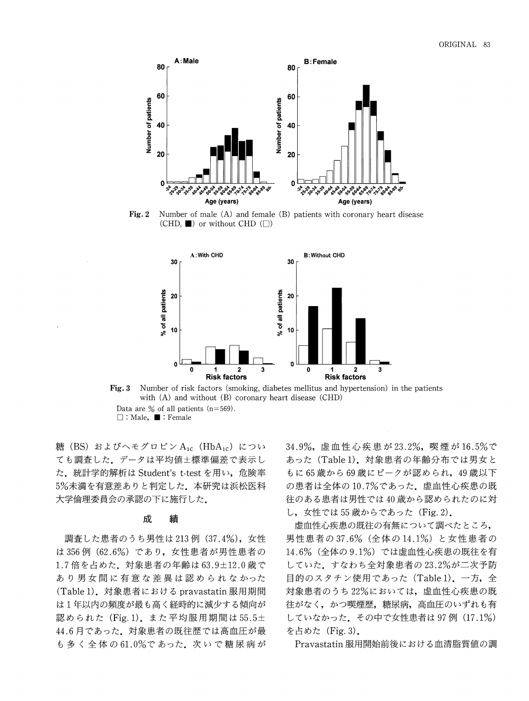

Fig. 2 Number of male (A) and female (B) patients with coronary heart disease (CHD,  $\blacksquare$ ) or without CHD ( $\Box$ )





糖(BS) およびヘモグロビン $A_{1c}$  (Hb $A_{1c}$ ) につい ても調査した。データは平均値±標準偏差で表示し た. 統計学的解析は Student's t-test を用い, 危険率 5%未満を有意差ありと判定した。本研究は浜松医科 大学倫理委員会の承認の下に施行した。

#### 成 績

調査した患者のうち男性は 213例 (37.4%), 女性 は356例 (62.6%)であり, 女性患者が男性患者の 1.7倍を占めた。対象患者の年齢は63.9±12.0歳で あり男女間に有意な差異は認められなかった (Table 1). 対象患者における pravastatin 服用期間 は1年以内の頻度が最も高く経時的に減少する傾向が 認められた (Fig.1). また平均服用期間は55.5± 44.6月であった。対象患者の既往歴では高血圧が最 も多く全体の61.0%であった。次いで糖尿病が 34.9%, 虚血性心疾患が23.2%, 喫煙が16.5%で あった (Table 1). 対象患者の年齢分布では男女と もに65歳から69歳にピークが認められ、49歳以下 の患者は全体の10.7%であった。虚血性心疾患の既 往のある患者は男性では40歳から認められたのに対 し, 女性では 55 歳からであった (Fig. 2).

虚血性心疾患の既往の有無について調べたところ, 男性患者の37.6% (全体の14.1%) と女性患者の 14.6% (全体の9.1%)では虚血性心疾患の既往を有 していた。すなわち全対象患者の23.2%が二次予防 目的のスタチン使用であった (Table 1). 一方, 全 対象患者のうち22%においては、虚血性心疾患の既 往がなく、かつ喫煙歴、糖尿病、高血圧のいずれも有 していなかった。その中で女性患者は97例 (17.1%) を占めた (Fig. 3).

Pravastatin服用開始前後における血清脂質値の調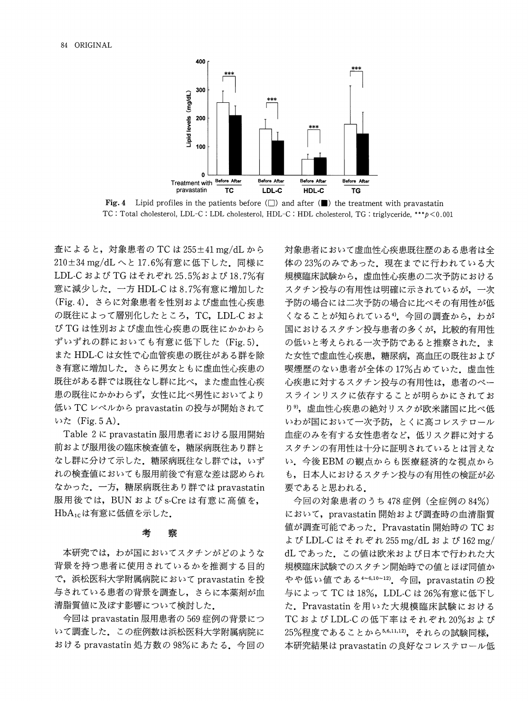

**Fig. 4** Lipid profiles in the patients before  $(\Box)$  and after  $(\blacksquare)$  the treatment with pravastatin TC: Total cholesterol, LDL-C: LDL cholesterol, HDL-C: HDL cholesterol, TG: triglyceride, \*\*\* p < 0.001

査によると, 対象患者の TC は 255±41 mg/dL から 210±34 mg/dLへと17.6%有意に低下した. 同様に LDL-C および TG はそれぞれ 25.5%および 18.7%有 意に減少した。一方 HDL-C は8.7%有意に増加した (Fig. 4). さらに対象患者を性別および虚血性心疾患 の既往によって層別化したところ, TC, LDL-C およ び TG は性別および虚血性心疾患の既往にかかわら ずいずれの群においても有意に低下した (Fig.5). また HDL-C は女性で心血管疾患の既往がある群を除 き有意に増加した。さらに男女ともに虚血性心疾患の 既往がある群では既往なし群に比べ、また虚血性心疾 患の既往にかかわらず、女性に比べ男性においてより 低い TC レベルから pravastatin の投与が開始されて いた $(Fig.5A)$ .

Table 2に pravastatin 服用患者における服用開始 前および服用後の臨床検査値を、糖尿病既往あり群と なし群に分けて示した。糖尿病既往なし群では、いず れの検査値においても服用前後で有意な差は認められ なかった. 一方, 糖尿病既往あり群では pravastatin 服用後では, BUN および s-Cre は有意に高値を, HbA<sub>1c</sub>は有意に低値を示した.

#### 考 察

本研究では、わが国においてスタチンがどのような 背景を持つ患者に使用されているかを推測する目的 で,浜松医科大学附属病院において pravastatin を投 与されている患者の背景を調査し、さらに本薬剤が血 清脂質値に及ぼす影響について検討した。

今回は pravastatin 服用患者の 569 症例の背景につ いて調査した。この症例数は浜松医科大学附属病院に おける pravastatin 処方数の 98%にあたる. 今回の 対象患者において虚血性心疾患既往歴のある患者は全 体の23%のみであった。現在までに行われている大 規模臨床試験から、虚血性心疾患の二次予防における スタチン投与の有用性は明確に示されているが、一次 予防の場合には二次予防の場合に比べその有用性が低 くなることが知られている<sup>4</sup>。今回の調査から、わが 国におけるスタチン投与患者の多くが、比較的有用性 の低いと考えられる一次予防であると推察された。ま た女性で虚血性心疾患、糖尿病、高血圧の既往および 喫煙歴のない患者が全体の17%占めていた。虚血性 心疾患に対するスタチン投与の有用性は、患者のベー スラインリスクに依存することが明らかにされてお り<sup>9</sup>,虚血性心疾患の絶対リスクが欧米諸国に比べ低 いわが国において一次予防、とくに高コレステロール 血症のみを有する女性患者など、低リスク群に対する スタチンの有用性は十分に証明されているとは言えな い。今後EBMの観点からも医療経済的な視点から も、日本人におけるスタチン投与の有用性の検証が必 要であると思われる.

今回の対象患者のうち 478症例(全症例の84%) において、pravastatin 開始および調査時の血清脂質 値が調査可能であった. Pravastatin 開始時の TC お よび LDL-C はそれぞれ 255 mg/dL および 162 mg/ dL であった。この値は欧米および日本で行われた大 規模臨床試験でのスタチン開始時での値とほぼ同値か やや低い値である4~6,10~12). 今回, pravastatinの投 与によって TC は 18%, LDL-C は 26%有意に低下し た. Pravastatinを用いた大規模臨床試験における TCおよび LDL-C の低下率はそれぞれ 20%および 25%程度であることから5,6,11,12), それらの試験同様, 本研究結果は pravastatin の良好なコレステロール低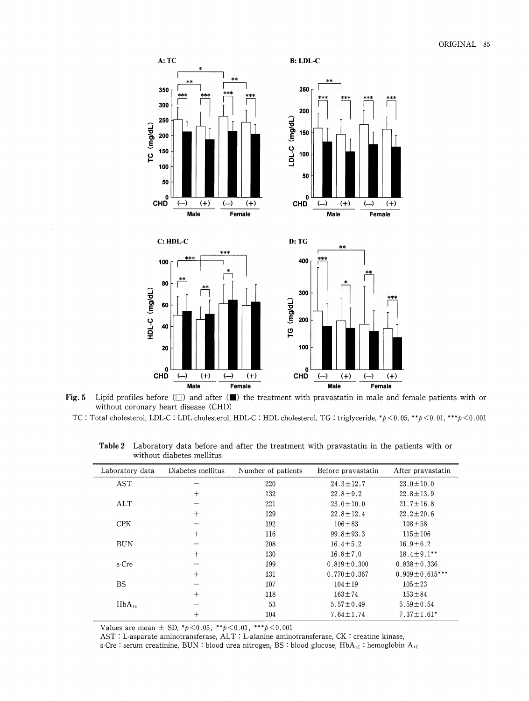

Fig. 5 Lipid profiles before  $(\Box)$  and after  $(\Box)$  the treatment with pravastatin in male and female patients with or without coronary heart disease (CHD)

TC: Total cholesterol, LDL-C: LDL cholesterol, HDL-C: HDL cholesterol, TG: triglyceride, \*p < 0.05, \*\*p < 0.01, \*\*\*p < 0.001

| Laboratory data | Diabetes mellitus | Number of patients | Before pravastatin | After pravastatin    |
|-----------------|-------------------|--------------------|--------------------|----------------------|
| AST             |                   | 220                | $24.3 \pm 12.7$    | $23.0 \pm 10.0$      |
|                 | $+$               | 132                | $22.8 \pm 9.2$     | $22.8 \pm 13.9$      |
| ALT             |                   | 221                | $23.0 \pm 10.0$    | $21.7 \pm 16.8$      |
|                 | $+$               | 129                | $22.8 \pm 12.4$    | $22.2 \pm 20.6$      |
| <b>CPK</b>      |                   | 192                | $106 \pm 83$       | $108 + 58$           |
|                 | $^{+}$            | 116                | $99.8 \pm 93.3$    | $115 \pm 106$        |
| <b>BUN</b>      |                   | 208                | $16.4 \pm 5.2$     | $16.9 \pm 6.2$       |
|                 | $^{+}$            | 130                | $16.8 \pm 7.0$     | $18.4 \pm 9.1$ **    |
| s-Cre           |                   | 199                | $0.819 \pm 0.300$  | $0.838 \pm 0.336$    |
|                 | $^{+}$            | 131                | $0.770 \pm 0.367$  | $0.909 \pm 0.615***$ |
| <b>BS</b>       |                   | 107                | $104 \pm 19$       | $105 \pm 23$         |
|                 | $+$               | 118                | $163 + 74$         | $153 + 84$           |
| $HbA_{1c}$      |                   | $53 -$             | $5.57 \pm 0.49$    | $5.59 \pm 0.54$      |
|                 | $^{+}$            | 104                | $7.64 \pm 1.74$    | $7.37 \pm 1.61*$     |

Table 2 Laboratory data before and after the treatment with pravastatin in the patients with or without diabetes mellitus

Values are mean  $\pm$  SD,  $*p$  < 0.05,  $*p$  < 0.01,  $**p$  < 0.001

AST : L-asparate aminotransferase, ALT : L-alanine aminotransferase, CK : creatine kinase,

s-Cre : serum creatinine, BUN : blood urea nitrogen, BS : blood glucose,  $HbA_{1c}$  : hemoglobin  $A_{1c}$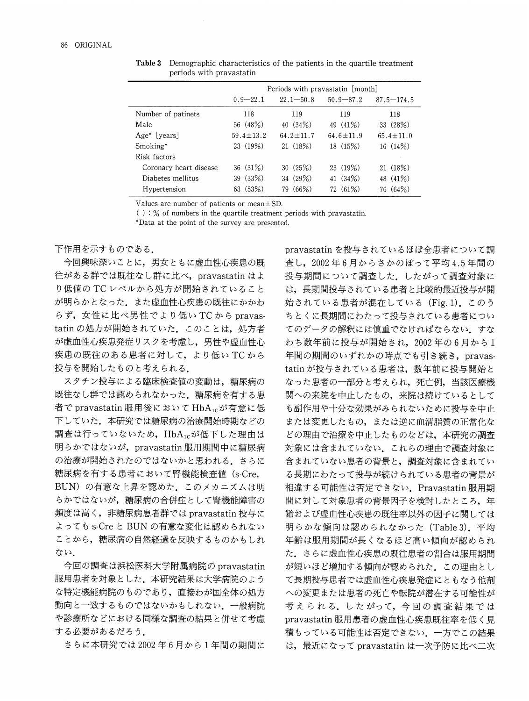|                          | Periods with pravastatin [month] |               |                 |                 |  |  |  |
|--------------------------|----------------------------------|---------------|-----------------|-----------------|--|--|--|
|                          | $0.9 - 22.1$                     | $22.1 - 50.8$ | $50.9 - 87.2$   | $87.5 - 174.5$  |  |  |  |
| Number of patinets       | 118                              | 119           | 119             | 118             |  |  |  |
| Male                     | 56 (48%)                         | 40(34%)       | 49 (41%)        | 33 (28%)        |  |  |  |
| Age <sup>*</sup> [years] | $59.4 + 13.2$                    | $64.2 + 11.7$ | $64.6 \pm 11.9$ | $65.4 \pm 11.0$ |  |  |  |
| Smoking*                 | 23 (19%)                         | 21(18%)       | 18 (15%)        | 16(14%)         |  |  |  |
| Risk factors             |                                  |               |                 |                 |  |  |  |
| Coronary heart disease   | 36(31%)                          | 30(25%)       | 23(19%)         | (18%)<br>21     |  |  |  |
| Diabetes mellitus        | 39(33%)                          | 34 (29%)      | 41 $(34%)$      | 48 (41%)        |  |  |  |
| Hypertension             | 63 (53%)                         | (66%)<br>79   | 72 (61%)        | 76 (64%)        |  |  |  |

Table 3 Demographic characteristics of the patients in the quartile treatment periods with pravastatin

Values are number of patients or mean $\pm$ SD.

 $($ ): % of numbers in the quartile treatment periods with pravastatin.

\*Data at the point of the survey are presented .

# 下作用を示すものである.

今回興味深いことに、男女ともに虚血性心疾患の既 往がある群では既往なし群に比べ, pravastatin はよ り低値の TC レベルから処方が開始されていること が明らかとなった。また虚血性心疾患の既往にかかわ らず,女性に比べ男性でより低いTCからpravastatin の処方が開始されていた。このことは、処方者 が虚血性心疾患発症リスクを考慮し、男性や虚血性心 疾患の既往のある患者に対して、より低い TCから 投与を開始したものと考えられる。

スタチン投与による臨床検査値の変動は、糖尿病の 既往なし群では認められなかった。糖尿病を有する患 者でpravastatin服用後においてHbA<sub>1c</sub>が有意に低 下していた。本研究では糖尿病の治療開始時期などの 調査は行っていないため、HbA1cが低下した理由は 明らかではないが, pravastatin服用期間中に糖尿病 の治療が開始されたのではないかと思われる。さらに 糖尿病を有する患者において腎機能検査値(s-Cre, BUN)の有意な上昇を認めた。このメカニズムは明 らかではないが、糖尿病の合併症として腎機能障害の 頻度は高く、非糖尿病患者群では pravastatin 投与に よっても s-Cre と BUN の有意な変化は認められない ことから、糖尿病の自然経過を反映するものかもしれ ない.

今回の調査は浜松医科大学附属病院の pravastatin 服用患者を対象とした。本研究結果は大学病院のよう な特定機能病院のものであり、直接わが国全体の処方 動向と一致するものではないかもしれない。一般病院 や診療所などにおける同様な調査の結果と併せて考慮 する必要があるだろう。

さらに本研究では2002年6月から1年間の期間に

pravastatin を投与されているほぼ全患者について調  $\hat{\Phi}$ し, 2002年6月からさかのぼって平均4.5年間の 投与期間について調査した。したがって調査対象に は、長期間投与されている患者と比較的最近投与が開 始されている患者が混在している (Fig.1). このう ちとくに長期間にわたって投与されている患者につい てのデータの解釈には慎重でなければならない。すな わち数年前に投与が開始され、2002年の6月から1 年間の期間のいずれかの時点でも引き続き, pravastatinが投与されている患者は、数年前に投与開始と なった患者の一部分と考えられ、死亡例、当該医療機 関への来院を中止したもの、来院は続けているとして も副作用や十分な効果がみられないために投与を中止 または変更したもの、または逆に血清脂質の正常化な どの理由で治療を中止したものなどは、本研究の調査 対象には含まれていない。これらの理由で調査対象に 含まれていない患者の背景と、調査対象に含まれてい る長期にわたって投与が続けられている患者の背景が 相違する可能性は否定できない. Pravastatin 服用期 間に対して対象患者の背景因子を検討したところ、年 齢および虚血性心疾患の既往率以外の因子に関しては 明らかな傾向は認められなかった (Table 3). 平均 年齢は服用期間が長くなるほど高い傾向が認められ た.さらに虚血性心疾患の既往患者の割合は服用期間 が短いほど増加する傾向が認められた。この理由とし て長期投与患者では虚血性心疾患発症にともなう他剤 への変更または患者の死亡や転院が潜在する可能性が 考えられる。したがって、今回の調査結果では pravastatin服用患者の虚血性心疾患既往率を低く見 積もっている可能性は否定できない。一方でこの結果 は、最近になって pravastatin は一次予防に比べ二次